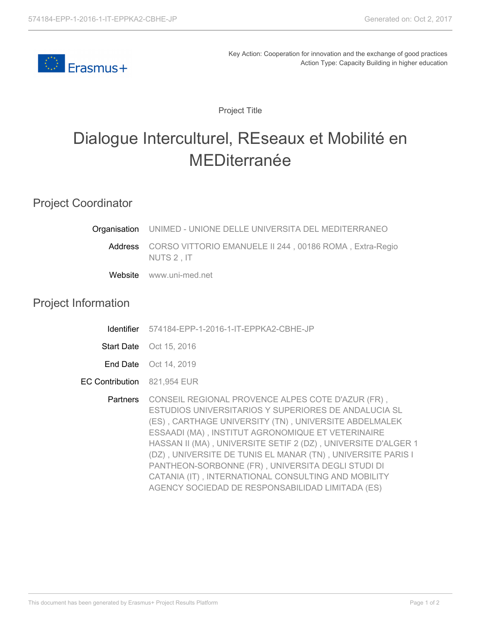

Key Action: Cooperation for innovation and the exchange of good practices Action Type: Capacity Building in higher education

Project Title

## Dialogue Interculturel, REseaux et Mobilité en MEDiterranée

## Project Coordinator

|                            | Organisation UNIMED - UNIONE DELLE UNIVERSITA DEL MEDITERRANEO                                                                                                                                                                                                                                                                                                                                                                                                                                                          |
|----------------------------|-------------------------------------------------------------------------------------------------------------------------------------------------------------------------------------------------------------------------------------------------------------------------------------------------------------------------------------------------------------------------------------------------------------------------------------------------------------------------------------------------------------------------|
|                            | Address CORSO VITTORIO EMANUELE II 244, 00186 ROMA, Extra-Regio<br>NUTS 2, IT                                                                                                                                                                                                                                                                                                                                                                                                                                           |
|                            | Website www.uni-med.net                                                                                                                                                                                                                                                                                                                                                                                                                                                                                                 |
| <b>Project Information</b> |                                                                                                                                                                                                                                                                                                                                                                                                                                                                                                                         |
| <b>Identifier</b>          | 574184-EPP-1-2016-1-IT-EPPKA2-CBHE-JP                                                                                                                                                                                                                                                                                                                                                                                                                                                                                   |
|                            | <b>Start Date</b> Oct 15, 2016                                                                                                                                                                                                                                                                                                                                                                                                                                                                                          |
|                            | <b>End Date</b> Oct 14, 2019                                                                                                                                                                                                                                                                                                                                                                                                                                                                                            |
| <b>EC Contribution</b>     | 821,954 EUR                                                                                                                                                                                                                                                                                                                                                                                                                                                                                                             |
| <b>Partners</b>            | CONSEIL REGIONAL PROVENCE ALPES COTE D'AZUR (FR),<br>ESTUDIOS UNIVERSITARIOS Y SUPERIORES DE ANDALUCIA SL<br>(ES), CARTHAGE UNIVERSITY (TN), UNIVERSITE ABDELMALEK<br>ESSAADI (MA), INSTITUT AGRONOMIQUE ET VETERINAIRE<br>HASSAN II (MA), UNIVERSITE SETIF 2 (DZ), UNIVERSITE D'ALGER 1<br>(DZ), UNIVERSITE DE TUNIS EL MANAR (TN), UNIVERSITE PARIS I<br>PANTHEON-SORBONNE (FR), UNIVERSITA DEGLI STUDI DI<br>CATANIA (IT), INTERNATIONAL CONSULTING AND MOBILITY<br>AGENCY SOCIEDAD DE RESPONSABILIDAD LIMITADA (ES) |